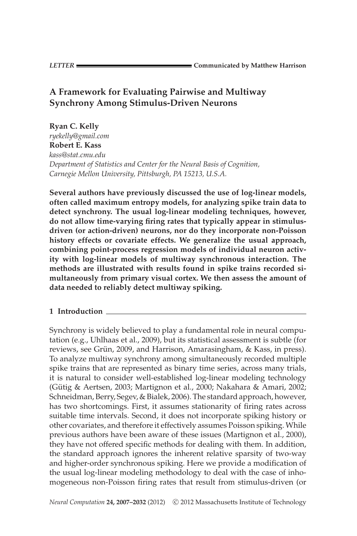# **A Framework for Evaluating Pairwise and Multiway Synchrony Among Stimulus-Driven Neurons**

**Ryan C. Kelly** *ryekelly@gmail.com* **Robert E. Kass** *kass@stat.cmu.edu Department of Statistics and Center for the Neural Basis of Cognition, Carnegie Mellon University, Pittsburgh, PA 15213, U.S.A.*

**Several authors have previously discussed the use of log-linear models, often called maximum entropy models, for analyzing spike train data to detect synchrony. The usual log-linear modeling techniques, however, do not allow time-varying firing rates that typically appear in stimulusdriven (or action-driven) neurons, nor do they incorporate non-Poisson history effects or covariate effects. We generalize the usual approach, combining point-process regression models of individual neuron activity with log-linear models of multiway synchronous interaction. The methods are illustrated with results found in spike trains recorded simultaneously from primary visual cortex. We then assess the amount of data needed to reliably detect multiway spiking.**

## **1 Introduction**

Synchrony is widely believed to play a fundamental role in neural computation (e.g., Uhlhaas et al., 2009), but its statistical assessment is subtle (for reviews, see Grün, 2009, and Harrison, Amarasingham, & Kass, in press). To analyze multiway synchrony among simultaneously recorded multiple spike trains that are represented as binary time series, across many trials, it is natural to consider well-established log-linear modeling technology (Gütig & Aertsen, 2003; Martignon et al., 2000; Nakahara & Amari, 2002; Schneidman, Berry, Segev, & Bialek, 2006). The standard approach, however, has two shortcomings. First, it assumes stationarity of firing rates across suitable time intervals. Second, it does not incorporate spiking history or other covariates, and therefore it effectively assumes Poisson spiking. While previous authors have been aware of these issues (Martignon et al., 2000), they have not offered specific methods for dealing with them. In addition, the standard approach ignores the inherent relative sparsity of two-way and higher-order synchronous spiking. Here we provide a modification of the usual log-linear modeling methodology to deal with the case of inhomogeneous non-Poisson firing rates that result from stimulus-driven (or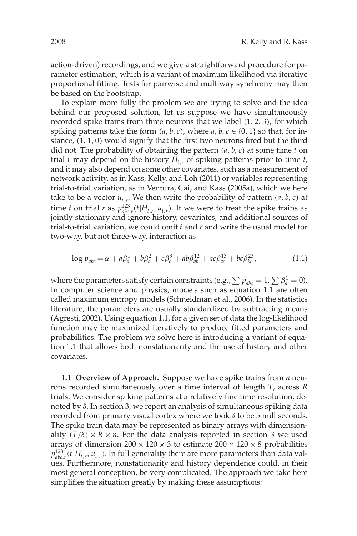action-driven) recordings, and we give a straightforward procedure for parameter estimation, which is a variant of maximum likelihood via iterative proportional fitting. Tests for pairwise and multiway synchrony may then be based on the bootstrap.

To explain more fully the problem we are trying to solve and the idea behind our proposed solution, let us suppose we have simultaneously recorded spike trains from three neurons that we label (1, 2, 3), for which spiking patterns take the form  $(a, b, c)$ , where  $a, b, c \in \{0, 1\}$  so that, for instance, (1, 1, 0) would signify that the first two neurons fired but the third did not. The probability of obtaining the pattern (*a*, *b*, *c*) at some time *t* on trial  $r$  may depend on the history  $H_{t,r}$  of spiking patterns prior to time  $t$ , and it may also depend on some other covariates, such as a measurement of network activity, as in Kass, Kelly, and Loh (2011) or variables representing trial-to-trial variation, as in Ventura, Cai, and Kass (2005a), which we here take to be a vector  $u_{t,r}$ . We then write the probability of pattern  $(a, b, c)$  at time *t* on trial *r* as  $p_{abc,r}^{123}(t|H_{t,r}, u_{t,r})$ . If we were to treat the spike trains as jointly stationary and ignore history, covariates, and additional sources of trial-to-trial variation, we could omit *t* and *r* and write the usual model for two-way, but not three-way, interaction as

$$
\log p_{abc} = \alpha + a\beta_a^1 + b\beta_b^2 + c\beta_c^3 + ab\beta_{ab}^{12} + ac\beta_{ac}^{13} + bc\beta_{bc}^{23},\tag{1.1}
$$

where the parameters satisfy certain constraints (e.g.,  $\sum p_{abc} = 1$ ,  $\sum \beta_a^1 = 0$ ). In computer science and physics, models such as equation 1.1 are often called maximum entropy models (Schneidman et al., 2006). In the statistics literature, the parameters are usually standardized by subtracting means (Agresti, 2002). Using equation 1.1, for a given set of data the log-likelihood function may be maximized iteratively to produce fitted parameters and probabilities. The problem we solve here is introducing a variant of equation 1.1 that allows both nonstationarity and the use of history and other covariates.

**1.1 Overview of Approach.** Suppose we have spike trains from *n* neurons recorded simultaneously over a time interval of length *T*, across *R* trials. We consider spiking patterns at a relatively fine time resolution, denoted by δ. In section 3, we report an analysis of simultaneous spiking data recorded from primary visual cortex where we took  $\delta$  to be 5 milliseconds. The spike train data may be represented as binary arrays with dimensionality  $(T/\delta) \times R \times n$ . For the data analysis reported in section 3 we used arrays of dimension  $200 \times 120 \times 3$  to estimate  $200 \times 120 \times 8$  probabilities  $p_{abc,r}^{123}(t|H_{t,r}, u_{t,r})$ . In full generality there are more parameters than data values. Furthermore, nonstationarity and history dependence could, in their most general conception, be very complicated. The approach we take here simplifies the situation greatly by making these assumptions: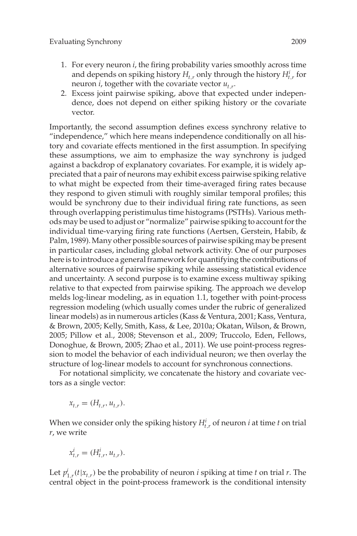- 1. For every neuron *i*, the firing probability varies smoothly across time and depends on spiking history  $H_{t,r}$  only through the history  $H_{t,r}^i$  for neuron *i*, together with the covariate vector *ut*,*r*.
- 2. Excess joint pairwise spiking, above that expected under independence, does not depend on either spiking history or the covariate vector.

Importantly, the second assumption defines excess synchrony relative to "independence," which here means independence conditionally on all history and covariate effects mentioned in the first assumption. In specifying these assumptions, we aim to emphasize the way synchrony is judged against a backdrop of explanatory covariates. For example, it is widely appreciated that a pair of neurons may exhibit excess pairwise spiking relative to what might be expected from their time-averaged firing rates because they respond to given stimuli with roughly similar temporal profiles; this would be synchrony due to their individual firing rate functions, as seen through overlapping peristimulus time histograms (PSTHs). Various methods may be used to adjust or "normalize" pairwise spiking to account for the individual time-varying firing rate functions (Aertsen, Gerstein, Habib, & Palm, 1989). Many other possible sources of pairwise spiking may be present in particular cases, including global network activity. One of our purposes here is to introduce a general framework for quantifying the contributions of alternative sources of pairwise spiking while assessing statistical evidence and uncertainty. A second purpose is to examine excess multiway spiking relative to that expected from pairwise spiking. The approach we develop melds log-linear modeling, as in equation 1.1, together with point-process regression modeling (which usually comes under the rubric of generalized linear models) as in numerous articles (Kass & Ventura, 2001; Kass, Ventura, & Brown, 2005; Kelly, Smith, Kass, & Lee, 2010a; Okatan, Wilson, & Brown, 2005; Pillow et al., 2008; Stevenson et al., 2009; Truccolo, Eden, Fellows, Donoghue, & Brown, 2005; Zhao et al., 2011). We use point-process regression to model the behavior of each individual neuron; we then overlay the structure of log-linear models to account for synchronous connections.

For notational simplicity, we concatenate the history and covariate vectors as a single vector:

$$
x_{t,r} = (H_{t,r}, u_{t,r}).
$$

When we consider only the spiking history  $H_{t,r}^i$  of neuron *i* at time *t* on trial *r*, we write

$$
x_{t,r}^i = (H_{t,r}^i, u_{t,r}).
$$

Let  $p_{1,r}^i(t|x_{t,r})$  be the probability of neuron *i* spiking at time *t* on trial *r*. The central object in the point-process framework is the conditional intensity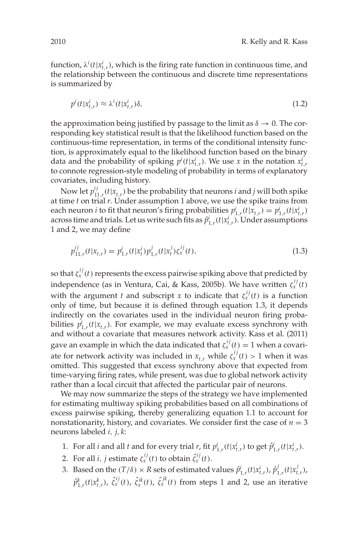function,  $\lambda^{i}(t|x_{t,r}^{i})$ , which is the firing rate function in continuous time, and the relationship between the continuous and discrete time representations is summarized by

$$
p^{i}(t|x_{t,r}^{i}) \approx \lambda^{i}(t|x_{t,r}^{i})\delta,
$$
\n(1.2)

the approximation being justified by passage to the limit as  $\delta \rightarrow 0$ . The corresponding key statistical result is that the likelihood function based on the continuous-time representation, in terms of the conditional intensity function, is approximately equal to the likelihood function based on the binary data and the probability of spiking  $p^{i}(t|x_{t,r}^{i})$ . We use *x* in the notation  $x_{t,r}^{i}$ to connote regression-style modeling of probability in terms of explanatory covariates, including history.

Now let  $p_{11,r}^{ij}(t|x_{t,r})$  be the probability that neurons *i* and *j* will both spike at time *t* on trial *r*. Under assumption 1 above, we use the spike trains from each neuron *i* to fit that neuron's firing probabilities  $p_{1,r}^i(t|x_{t,r}) = p_{1,r}^i(t|x_{t,r}^i)$ across time and trials. Let us write such fits as  $\hat{p}^i_{1,r}(t|x^i_{t,r})$ . Under assumptions 1 and 2, we may define

$$
p_{11,r}^{ij}(t|x_{t,r}) = p_{1,r}^i(t|x_t^i)p_{1,r}^j(t|x_t^j)\xi_x^{ij}(t),
$$
\n(1.3)

so that  $\zeta^{ij}_x(t)$  represents the excess pairwise spiking above that predicted by independence (as in Ventura, Cai, & Kass, 2005b). We have written  $\zeta_x^{ij}(t)$ with the argument *t* and subscript *x* to indicate that  $\zeta_x^{ij}(t)$  is a function only of time, but because it is defined through equation 1.3, it depends indirectly on the covariates used in the individual neuron firing probabilities  $p_{1,r}^i(t|x_{t,r})$ . For example, we may evaluate excess synchrony with and without a covariate that measures network activity. Kass et al. (2011) gave an example in which the data indicated that  $\zeta_x^{ij}(t)=1$  when a covariate for network activity was included in  $x_{t,r}$  while  $\zeta_x^{ij}(t) > 1$  when it was omitted. This suggested that excess synchrony above that expected from time-varying firing rates, while present, was due to global network activity rather than a local circuit that affected the particular pair of neurons.

We may now summarize the steps of the strategy we have implemented for estimating multiway spiking probabilities based on all combinations of excess pairwise spiking, thereby generalizing equation 1.1 to account for nonstationarity, history, and covariates. We consider first the case of  $n = 3$ neurons labeled *i*, *j*, *k*:

- 1. For all *i* and all *t* and for every trial *r*, fit  $p_{1,r}^i(t|x_{t,r}^i)$  to get  $\hat{p}_{1,r}^i(t|x_{t,r}^i)$ .
- 2. For all *i*, *j* estimate  $\zeta_x^{ij}(t)$  to obtain  $\hat{\zeta}_x^{ij}(t)$ .
- 3. Based on the  $(T/\delta) \times R$  sets of estimated values  $\hat{p}^i_{1,r}(t|x^i_{t,r}), \hat{p}^j_{1,r}(t|x^j_{t,r})$ ,  $\hat{p}^k_{1,r}(t|x^k_{t,r}), \ \hat{\zeta}^{ij}_x(t), \ \hat{\zeta}^{ik}_x(t), \ \hat{\zeta}^{jk}_x(t)$  from steps 1 and 2, use an iterative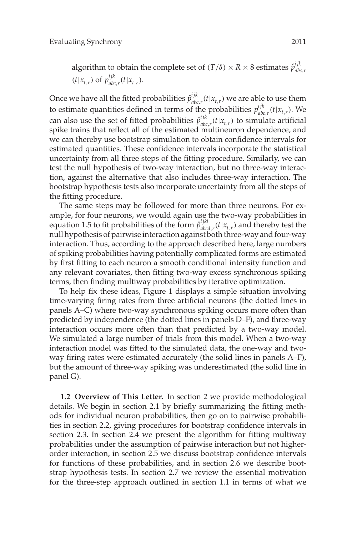algorithm to obtain the complete set of  $(T/\delta) \times R \times 8$  estimates  $\hat{p}_{abc}^{ijk}$ *abc*,*r*  $(t|x_{t,r})$  of  $p_{abc}^{ijk}$  $_{abc,r}^{ijk}(t|x_{t,r}).$ 

Once we have all the fitted probabilities  $\hat{p}_{abc}^{ijk}$  $\int_{abc,r}^{l/k} (t|x_{t,r})$  we are able to use them to estimate quantities defined in terms of the probabilities  $p_{abc}^{ijk}$  $\int_{abc,r}^{t/\kappa} (t|x_{t,r})$ . We can also use the set of fitted probabilities  $\hat{p}_{abc}^{ijk}$  $a_{abc,r}^{ijk}(t|x_{t,r})$  to simulate artificial spike trains that reflect all of the estimated multineuron dependence, and we can thereby use bootstrap simulation to obtain confidence intervals for estimated quantities. These confidence intervals incorporate the statistical uncertainty from all three steps of the fitting procedure. Similarly, we can test the null hypothesis of two-way interaction, but no three-way interaction, against the alternative that also includes three-way interaction. The bootstrap hypothesis tests also incorporate uncertainty from all the steps of the fitting procedure.

The same steps may be followed for more than three neurons. For example, for four neurons, we would again use the two-way probabilities in equation 1.5 to fit probabilities of the form  $\hat{p}_{abc}^{ijkl}$  $a_{abcd,r}^{ijkl}(t|x_{t,r})$  and thereby test the null hypothesis of pairwise interaction against both three-way and four-way interaction. Thus, according to the approach described here, large numbers of spiking probabilities having potentially complicated forms are estimated by first fitting to each neuron a smooth conditional intensity function and any relevant covariates, then fitting two-way excess synchronous spiking terms, then finding multiway probabilities by iterative optimization.

To help fix these ideas, Figure 1 displays a simple situation involving time-varying firing rates from three artificial neurons (the dotted lines in panels A–C) where two-way synchronous spiking occurs more often than predicted by independence (the dotted lines in panels D–F), and three-way interaction occurs more often than that predicted by a two-way model. We simulated a large number of trials from this model. When a two-way interaction model was fitted to the simulated data, the one-way and twoway firing rates were estimated accurately (the solid lines in panels A–F), but the amount of three-way spiking was underestimated (the solid line in panel G).

**1.2 Overview of This Letter.** In section 2 we provide methodological details. We begin in section 2.1 by briefly summarizing the fitting methods for individual neuron probabilities, then go on to pairwise probabilities in section 2.2, giving procedures for bootstrap confidence intervals in section 2.3. In section 2.4 we present the algorithm for fitting multiway probabilities under the assumption of pairwise interaction but not higherorder interaction, in section 2.5 we discuss bootstrap confidence intervals for functions of these probabilities, and in section 2.6 we describe bootstrap hypothesis tests. In section 2.7 we review the essential motivation for the three-step approach outlined in section 1.1 in terms of what we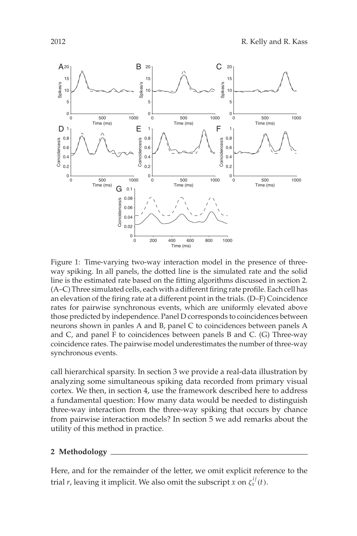

Figure 1: Time-varying two-way interaction model in the presence of threeway spiking. In all panels, the dotted line is the simulated rate and the solid line is the estimated rate based on the fitting algorithms discussed in section 2. (A–C) Three simulated cells, each with a different firing rate profile. Each cell has an elevation of the firing rate at a different point in the trials. (D–F) Coincidence rates for pairwise synchronous events, which are uniformly elevated above those predicted by independence. Panel D corresponds to coincidences between neurons shown in panles A and B, panel C to coincidences between panels A and C, and panel F to coincidences between panels B and C. (G) Three-way coincidence rates. The pairwise model underestimates the number of three-way synchronous events.

call hierarchical sparsity. In section 3 we provide a real-data illustration by analyzing some simultaneous spiking data recorded from primary visual cortex. We then, in section 4, use the framework described here to address a fundamental question: How many data would be needed to distinguish three-way interaction from the three-way spiking that occurs by chance from pairwise interaction models? In section 5 we add remarks about the utility of this method in practice.

## **2 Methodology**

Here, and for the remainder of the letter, we omit explicit reference to the trial *r*, leaving it implicit. We also omit the subscript *x* on  $\zeta_x^{ij}(t)$ .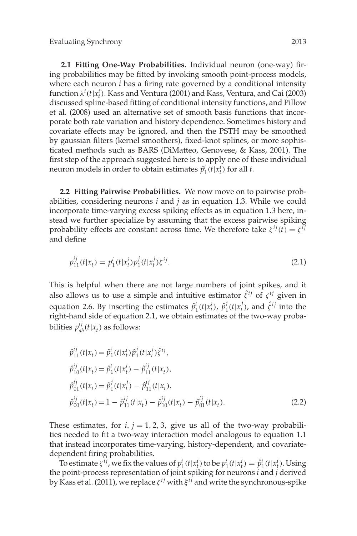**2.1 Fitting One-Way Probabilities.** Individual neuron (one-way) firing probabilities may be fitted by invoking smooth point-process models, where each neuron *i* has a firing rate governed by a conditional intensity function λ*<sup>i</sup>* (*t*|*x<sup>i</sup> <sup>t</sup>*). Kass and Ventura (2001) and Kass, Ventura, and Cai (2003) discussed spline-based fitting of conditional intensity functions, and Pillow et al. (2008) used an alternative set of smooth basis functions that incorporate both rate variation and history dependence. Sometimes history and covariate effects may be ignored, and then the PSTH may be smoothed by gaussian filters (kernel smoothers), fixed-knot splines, or more sophisticated methods such as BARS (DiMatteo, Genovese, & Kass, 2001). The first step of the approach suggested here is to apply one of these individual neuron models in order to obtain estimates  $\hat{p}_1^i(t|x_t^i)$  for all *t*.

**2.2 Fitting Pairwise Probabilities.** We now move on to pairwise probabilities, considering neurons *i* and *j* as in equation 1.3. While we could incorporate time-varying excess spiking effects as in equation 1.3 here, instead we further specialize by assuming that the excess pairwise spiking probability effects are constant across time. We therefore take  $\zeta^{ij}(t) = \zeta^{ij}$ and define

$$
p_{11}^{ij}(t|x_t) = p_1^i(t|x_t^i)p_1^j(t|x_t^j)\xi^{ij}.
$$
\n(2.1)

This is helpful when there are not large numbers of joint spikes, and it also allows us to use a simple and intuitive estimator  $\hat{\zeta}^{ij}$  of  $\zeta^{ij}$  given in equation 2.6. By inserting the estimates  $\hat{p}_1^i(t|x_t^i)$ ,  $\hat{p}_1^j(t|x_t^j)$ , and  $\hat{\zeta}^{ij}$  into the right-hand side of equation 2.1, we obtain estimates of the two-way probabilities  $p_{ab}^{ij}(t|x_t)$  as follows:

$$
\hat{p}_{11}^{ij}(t|x_t) = \hat{p}_1^i(t|x_t^i)\hat{p}_1^j(t|x_t^j)\hat{\zeta}^{ij},
$$
\n
$$
\hat{p}_{10}^{ij}(t|x_t) = \hat{p}_1^i(t|x_t^i) - \hat{p}_{11}^{ij}(t|x_t),
$$
\n
$$
\hat{p}_{01}^{ij}(t|x_t) = \hat{p}_1^j(t|x_t^j) - \hat{p}_{11}^{ij}(t|x_t),
$$
\n
$$
\hat{p}_{00}^{ij}(t|x_t) = 1 - \hat{p}_{11}^{ij}(t|x_t) - \hat{p}_{10}^{ij}(t|x_t) - \hat{p}_{01}^{ij}(t|x_t).
$$
\n(2.2)

These estimates, for  $i, j = 1, 2, 3$ , give us all of the two-way probabilities needed to fit a two-way interaction model analogous to equation 1.1 that instead incorporates time-varying, history-dependent, and covariatedependent firing probabilities.

To estimate  $\zeta^{ij}$ , we fix the values of  $p_1^i(t|x_t^i)$  to be  $p_1^i(t|x_t^i) = \hat{p}_1^i(t|x_t^i)$ . Using the point-process representation of joint spiking for neurons *i* and *j* derived by Kass et al. (2011), we replace ζ *i j* with ξ *i j* and write the synchronous-spike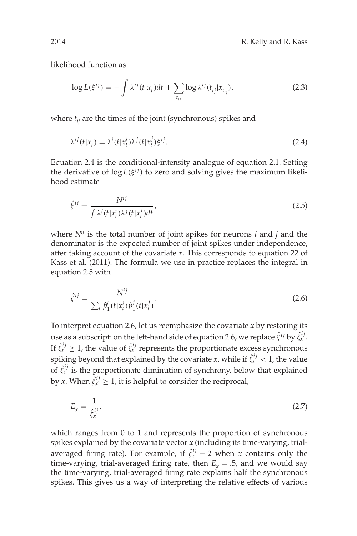likelihood function as

$$
\log L(\xi^{ij}) = -\int \lambda^{ij} (t|x_t)dt + \sum_{t_{ij}} \log \lambda^{ij} (t_{ij}|x_{t_{ij}}), \tag{2.3}
$$

where  $t_{ij}$  are the times of the joint (synchronous) spikes and

$$
\lambda^{ij}(t|x_t) = \lambda^i(t|x_t^j)\lambda^j(t|x_t^j)\xi^{ij}.
$$
\n(2.4)

Equation 2.4 is the conditional-intensity analogue of equation 2.1. Setting the derivative of  $log L(\xi^{ij})$  to zero and solving gives the maximum likelihood estimate

$$
\hat{\xi}^{ij} = \frac{N^{ij}}{\int \lambda^i(t|x_t^j)\lambda^j(t|x_t^j)dt},\tag{2.5}
$$

where  $N^{ij}$  is the total number of joint spikes for neurons  $i$  and  $j$  and the denominator is the expected number of joint spikes under independence, after taking account of the covariate *x*. This corresponds to equation 22 of Kass et al. (2011). The formula we use in practice replaces the integral in equation 2.5 with

$$
\hat{\zeta}^{ij} = \frac{N^{ij}}{\sum_{t} \hat{p}_1^i(t|x_t^i)\hat{p}_1^j(t|x_t^j)}.
$$
\n(2.6)

To interpret equation 2.6, let us reemphasize the covariate *x* by restoring its use as a subscript: on the left-hand side of equation 2.6, we replace  $\hat{\zeta}^{ij}$  by  $\hat{\zeta}^{ij}_x$  . If  $\hat{\zeta}_x^{ij} \geq 1$ , the value of  $\hat{\zeta}_x^{ij}$  represents the proportionate excess synchronous spiking beyond that explained by the covariate *x*, while if  $\hat{\zeta}_x^{ij} < 1$ , the value of  $\hat{\zeta}_x^{ij}$  is the proportionate diminution of synchrony, below that explained by *x*. When  $\hat{\zeta}_x^{ij} \geq 1$ , it is helpful to consider the reciprocal,

$$
E_x = \frac{1}{\hat{\zeta}_x^{ij}},\tag{2.7}
$$

which ranges from 0 to 1 and represents the proportion of synchronous spikes explained by the covariate vector *x* (including its time-varying, trialaveraged firing rate). For example, if  $\hat{\zeta}_x^{ij} = 2$  when *x* contains only the time-varying, trial-averaged firing rate, then  $E_r = .5$ , and we would say the time-varying, trial-averaged firing rate explains half the synchronous spikes. This gives us a way of interpreting the relative effects of various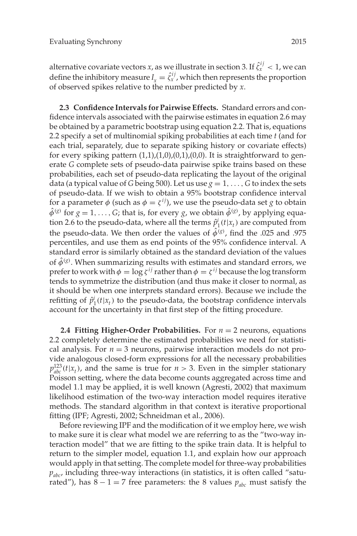alternative covariate vectors  $x$ , as we illustrate in section 3. If  $\hat{\zeta}_x^{ij} < 1$ , we can define the inhibitory measure  $I_x = \hat{\zeta}_x^{ij}$ , which then represents the proportion of observed spikes relative to the number predicted by *x*.

**2.3 Confidence Intervals for Pairwise Effects.** Standard errors and confidence intervals associated with the pairwise estimates in equation 2.6 may be obtained by a parametric bootstrap using equation 2.2. That is, equations 2.2 specify a set of multinomial spiking probabilities at each time *t* (and for each trial, separately, due to separate spiking history or covariate effects) for every spiking pattern  $(1,1),(1,0),(0,1),(0,0)$ . It is straightforward to generate *G* complete sets of pseudo-data pairwise spike trains based on these probabilities, each set of pseudo-data replicating the layout of the original data (a typical value of *G* being 500). Let us use  $g = 1, \ldots, G$  to index the sets of pseudo-data. If we wish to obtain a 95% bootstrap confidence interval for a parameter  $\phi$  (such as  $\phi = \zeta^{ij}$ ), we use the pseudo-data set *g* to obtain  $\hat{\phi}^{(g)}$  for  $g = 1, \ldots, G$ ; that is, for every  $g$ , we obtain  $\hat{\phi}^{(g)}$ , by applying equation 2.6 to the pseudo-data, where all the terms  $\hat{p}_1^i(t|x_t)$  are computed from the pseudo-data. We then order the values of  $\hat{\phi}^{(g)}$ , find the .025 and .975 percentiles, and use them as end points of the 95% confidence interval. A standard error is similarly obtained as the standard deviation of the values of  $\hat{\phi}^{\text{(g)}}$ . When summarizing results with estimates and standard errors, we prefer to work with  $\phi = \log \zeta^{ij}$  rather than  $\phi = \zeta^{ij}$  because the log transform tends to symmetrize the distribution (and thus make it closer to normal, as it should be when one interprets standard errors). Because we include the refitting of  $\hat{p}_1^i(t|x_t)$  to the pseudo-data, the bootstrap confidence intervals account for the uncertainty in that first step of the fitting procedure.

**2.4 Fitting Higher-Order Probabilities.** For  $n = 2$  neurons, equations 2.2 completely determine the estimated probabilities we need for statistical analysis. For  $n = 3$  neurons, pairwise interaction models do not provide analogous closed-form expressions for all the necessary probabilities  $p_{abc}^{123}(t|x_t)$ , and the same is true for  $n > 3$ . Even in the simpler stationary Poisson setting, where the data become counts aggregated across time and model 1.1 may be applied, it is well known (Agresti, 2002) that maximum likelihood estimation of the two-way interaction model requires iterative methods. The standard algorithm in that context is iterative proportional fitting (IPF; Agresti, 2002; Schneidman et al., 2006).

Before reviewing IPF and the modification of it we employ here, we wish to make sure it is clear what model we are referring to as the "two-way interaction model" that we are fitting to the spike train data. It is helpful to return to the simpler model, equation 1.1, and explain how our approach would apply in that setting. The complete model for three-way probabilities *pabc*, including three-way interactions (in statistics, it is often called "saturated"), has  $8 - 1 = 7$  free parameters: the 8 values  $p_{abc}$  must satisfy the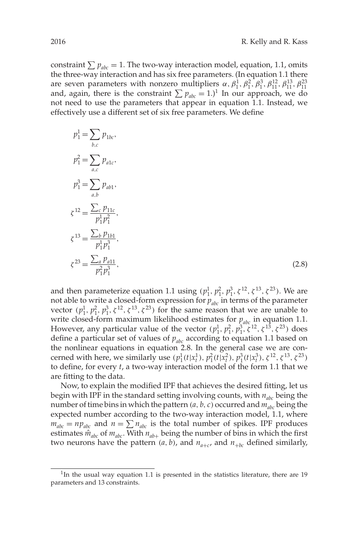constraint  $\sum p_{abc} = 1$ . The two-way interaction model, equation, 1.1, omits the three-way interaction and has six free parameters. (In equation 1.1 there are seven parameters with nonzero multipliers  $\alpha$ ,  $\beta_1^1$ ,  $\beta_1^2$ ,  $\beta_1^3$ ,  $\beta_{11}^{13}$ ,  $\beta_{11}^{23}$ ,  $\beta_{12}^{23}$ and, again, there is the constraint  $\sum p_{abc} = 1$ .)<sup>1</sup> In our approach, we do not need to use the parameters that appear in equation 1.1. Instead, we effectively use a different set of six free parameters. We define

$$
p_1^1 = \sum_{b,c} p_{1bc},
$$
  
\n
$$
p_1^2 = \sum_{a,c} p_{a1c},
$$
  
\n
$$
p_1^3 = \sum_{a,b} p_{ab1},
$$
  
\n
$$
\zeta^{12} = \frac{\sum_c p_{11c}}{p_1^1 p_1^2},
$$
  
\n
$$
\zeta^{13} = \frac{\sum_b p_{1b1}}{p_1^1 p_1^3},
$$
  
\n
$$
\zeta^{23} = \frac{\sum_a p_{a11}}{p_1^2 p_1^3},
$$
\n(2.8)

and then parameterize equation 1.1 using  $(p_1^1, p_1^2, p_1^3, \zeta^{12}, \zeta^{13}, \zeta^{23})$ . We are not able to write a closed-form expression for  $p_{abc}$  in terms of the parameter vector  $(p_1^1, p_1^2, p_1^3, \zeta^{12}, \zeta^{13}, \zeta^{23})$  for the same reason that we are unable to write closed-form maximum likelihood estimates for  $p_{abc}$  in equation 1.1. However, any particular value of the vector  $(p_1^1, p_1^2, p_1^3, \zeta^{12}, \zeta^{13}, \zeta^{23})$  does define a particular set of values of  $p_{abc}$  according to equation 1.1 based on the nonlinear equations in equation 2.8. In the general case we are concerned with here, we similarly use  $(p_1^1(t|x_t^1), p_1^2(t|x_t^2), p_1^3(t|x_t^3), \xi^{12}, \xi^{13}, \xi^{23})$ to define, for every *t*, a two-way interaction model of the form 1.1 that we are fitting to the data.

Now, to explain the modified IPF that achieves the desired fitting, let us begin with IPF in the standard setting involving counts, with *nabc* being the number of time bins in which the pattern  $(a, b, c)$  occurred and  $m_{abc}$  being the expected number according to the two-way interaction model, 1.1, where  $m_{abc} = np_{abc}$  and  $n = \sum n_{abc}$  is the total number of spikes. IPF produces estimates  $\hat{m}_{abc}$  of  $m_{abc}$ . With  $n_{ab+}$  being the number of bins in which the first two neurons have the pattern  $(a, b)$ , and  $n_{a+c}$ , and  $n_{+bc}$  defined similarly,

 $1$ In the usual way equation 1.1 is presented in the statistics literature, there are 19 parameters and 13 constraints.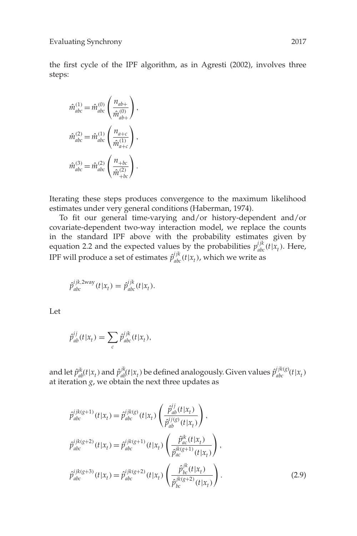the first cycle of the IPF algorithm, as in Agresti (2002), involves three steps:

$$
\hat{m}_{abc}^{(1)} = \hat{m}_{abc}^{(0)} \left( \frac{n_{ab+}}{\hat{m}_{ab+}^{(0)}} \right),
$$
  

$$
\hat{m}_{abc}^{(2)} = \hat{m}_{abc}^{(1)} \left( \frac{n_{a+c}}{\hat{m}_{a+c}^{(1)}} \right),
$$
  

$$
\hat{m}_{abc}^{(3)} = \hat{m}_{abc}^{(2)} \left( \frac{n_{+bc}}{\hat{m}_{+bc}^{(2)}} \right).
$$

Iterating these steps produces convergence to the maximum likelihood estimates under very general conditions (Haberman, 1974).

To fit our general time-varying and/or history-dependent and/or covariate-dependent two-way interaction model, we replace the counts in the standard IPF above with the probability estimates given by equation 2.2 and the expected values by the probabilities  $p_{abc}^{ijk}(t|x_t)$ . Here, IPF will produce a set of estimates  $\hat{p}_{abc}^{ijk}(t|x_t)$ , which we write as

$$
\hat{p}_{abc}^{ijk,2way}(t|x_t) = \hat{p}_{abc}^{ijk}(t|x_t).
$$

Let

$$
\hat{p}_{ab}^{ij}(t|x_t) = \sum_c \hat{p}_{abc}^{ijk}(t|x_t),
$$

and let  $\hat{p}_{ab}^{ik}(t|x_t)$  and  $\hat{p}_{ab}^{jk}(t|x_t)$  be defined analogously. Given values  $\hat{p}_{abc}^{ijk(g)}(t|x_t)$ at iteration  $g$ , we obtain the next three updates as

$$
\hat{p}_{abc}^{ijk(g+1)}(t|x_t) = \hat{p}_{abc}^{ijk(g)}(t|x_t) \left( \frac{\hat{p}_{ab}^{ij}(t|x_t)}{\hat{p}_{ab}^{ij(g)}(t|x_t)} \right),
$$
\n
$$
\hat{p}_{abc}^{ijk(g+2)}(t|x_t) = \hat{p}_{abc}^{ijk(g+1)}(t|x_t) \left( \frac{\hat{p}_{ac}^{ik}(t|x_t)}{\hat{p}_{ac}^{ik(g+1)}(t|x_t)} \right),
$$
\n
$$
\hat{p}_{abc}^{ijk(g+3)}(t|x_t) = \hat{p}_{abc}^{ijk(g+2)}(t|x_t) \left( \frac{\hat{p}_{bc}^{jk}(t|x_t)}{\hat{p}_{bc}^{jk(g+2)}(t|x_t)} \right).
$$
\n(2.9)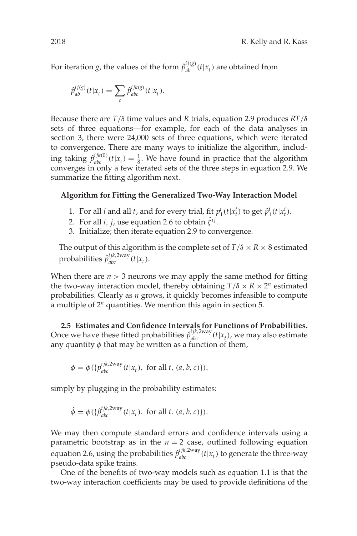For iteration *g*, the values of the form  $\hat{p}_{ab}^{ij(g)}(t|x_t)$  are obtained from

$$
\hat{p}_{ab}^{ij(g)}(t|x_t) = \sum_c \hat{p}_{abc}^{ijk(g)}(t|x_t).
$$

Because there are *T*/δ time values and *R* trials, equation 2.9 produces *RT*/δ sets of three equations—for example, for each of the data analyses in section 3, there were 24,000 sets of three equations, which were iterated to convergence. There are many ways to initialize the algorithm, including taking  $\hat{p}_{abc}^{ijk(0)}(t|x_t) = \frac{1}{8}$ . We have found in practice that the algorithm converges in only a few iterated sets of the three steps in equation 2.9. We summarize the fitting algorithm next.

## **Algorithm for Fitting the Generalized Two-Way Interaction Model**

- 1. For all *i* and all *t*, and for every trial, fit  $p_1^i(t|x_t^i)$  to get  $\hat{p}_1^i(t|x_t^i)$ .
- 2. For all *i*, *j*, use equation 2.6 to obtain  $\hat{\zeta}^{ij}$ .
- 3. Initialize; then iterate equation 2.9 to convergence.

The output of this algorithm is the complete set of  $T/\delta \times R \times 8$  estimated probabilities  $\hat{p}_{abc}^{ijk,2way}(t|x_t)$ .

When there are  $n > 3$  neurons we may apply the same method for fitting the two-way interaction model, thereby obtaining  $T/\delta \times R \times 2^n$  estimated probabilities. Clearly as *n* grows, it quickly becomes infeasible to compute a multiple of 2*<sup>n</sup>* quantities. We mention this again in section 5.

**2.5 Estimates and Confidence Intervals for Functions of Probabilities.** Once we have these fitted probabilities  $\hat{p}_{abc}^{ijk,2way}(t|x_t)$ , we may also estimate any quantity  $\phi$  that may be written as a function of them,

$$
\phi = \phi(\{p_{abc}^{ijk,2way}(t|x_t), \text{ for all } t, (a, b, c)\}),
$$

simply by plugging in the probability estimates:

$$
\hat{\phi} = \phi(\{\hat{p}_{abc}^{ijk,2way}(t|x_t), \text{ for all } t, (a, b, c)\}).
$$

We may then compute standard errors and confidence intervals using a parametric bootstrap as in the  $n = 2$  case, outlined following equation equation 2.6, using the probabilities  $\hat{p}_{abc}^{ijk,2way}(t|x_t)$  to generate the three-way pseudo-data spike trains.

One of the benefits of two-way models such as equation 1.1 is that the two-way interaction coefficients may be used to provide definitions of the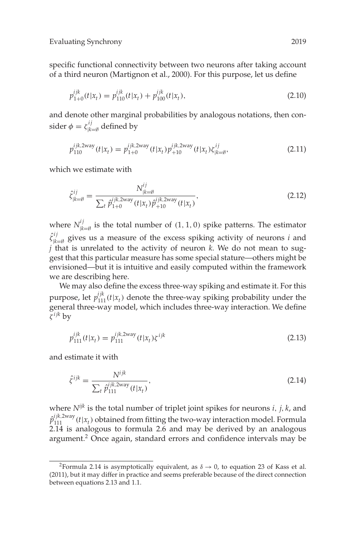specific functional connectivity between two neurons after taking account of a third neuron (Martignon et al., 2000). For this purpose, let us define

$$
p_{1+0}^{ijk}(t|x_t) = p_{110}^{ijk}(t|x_t) + p_{100}^{ijk}(t|x_t),
$$
\n(2.10)

and denote other marginal probabilities by analogous notations, then consider  $\phi = \zeta_{|k=\emptyset}^{ij}$  defined by

$$
p_{110}^{ijk,2\text{way}}(t|x_t) = p_{1+0}^{ijk,2\text{way}}(t|x_t) p_{+10}^{ijk,2\text{way}}(t|x_t) \zeta_{|k=\emptyset}^{ij},\tag{2.11}
$$

which we estimate with

$$
\hat{\zeta}_{|k=\emptyset}^{ij} = \frac{N_{|k=\emptyset}^{ij}}{\sum_{t} \hat{p}_{1+0}^{ijk,2\text{way}}(t|x_t)\hat{p}_{+10}^{ijk,2\text{way}}(t|x_t)},\tag{2.12}
$$

where  $N^{ij}_{|k=\emptyset}$  is the total number of  $(1, 1, 0)$  spike patterns. The estimator  $\hat{\zeta}^{ij}_{|\boldsymbol{k}=\emptyset}$  gives us a measure of the excess spiking activity of neurons *i* and *j* that is unrelated to the activity of neuron *k*. We do not mean to suggest that this particular measure has some special stature—others might be envisioned—but it is intuitive and easily computed within the framework we are describing here.

We may also define the excess three-way spiking and estimate it. For this purpose, let  $p_{111}^{ijk}(t|x_t)$  denote the three-way spiking probability under the general three-way model, which includes three-way interaction. We define ζ *ijk* by

$$
p_{111}^{ijk}(t|x_t) = p_{111}^{ijk,2way}(t|x_t)\zeta^{ijk}
$$
\n(2.13)

and estimate it with

$$
\hat{\zeta}^{ijk} = \frac{N^{ijk}}{\sum_{t} \hat{p}_{111}^{ijk,2way}(t|x_t)},
$$
\n(2.14)

where *Nijk* is the total number of triplet joint spikes for neurons *i*, *j*, *k*, and  $\hat{p}_{111}^{ijk,2way}(t|x_t)$  obtained from fitting the two-way interaction model. Formula 2.14 is analogous to formula 2.6 and may be derived by an analogous argument.<sup>2</sup> Once again, standard errors and confidence intervals may be

<sup>&</sup>lt;sup>2</sup>Formula 2.14 is asymptotically equivalent, as  $\delta \rightarrow 0$ , to equation 23 of Kass et al. (2011), but it may differ in practice and seems preferable because of the direct connection between equations 2.13 and 1.1.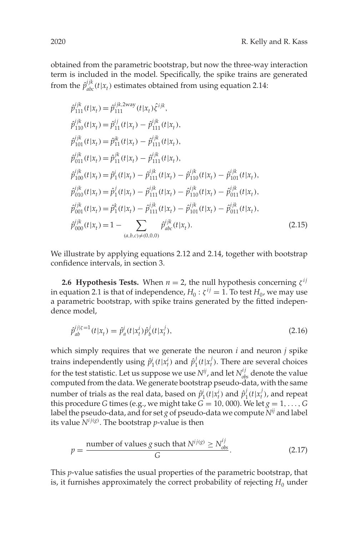obtained from the parametric bootstrap, but now the three-way interaction term is included in the model. Specifically, the spike trains are generated from the  $\hat{p}_{abc}^{ijk}(t|x_t)$  estimates obtained from using equation 2.14:

$$
\hat{p}_{111}^{ijk}(t|x_t) = \hat{p}_{111}^{ijk,2way}(t|x_t)\hat{\zeta}^{ijk},
$$
\n
$$
\hat{p}_{110}^{ijk}(t|x_t) = \hat{p}_{11}^{ij}(t|x_t) - \hat{p}_{111}^{ijk}(t|x_t),
$$
\n
$$
\hat{p}_{101}^{ijk}(t|x_t) = \hat{p}_{11}^{ik}(t|x_t) - \hat{p}_{111}^{ijk}(t|x_t),
$$
\n
$$
\hat{p}_{011}^{ijk}(t|x_t) = \hat{p}_{11}^{jk}(t|x_t) - \hat{p}_{111}^{ijk}(t|x_t),
$$
\n
$$
\hat{p}_{100}^{ijk}(t|x_t) = \hat{p}_1^{i}(t|x_t) - \hat{p}_{111}^{ijk}(t|x_t) - \hat{p}_{110}^{ijk}(t|x_t) - \hat{p}_{101}^{ijk}(t|x_t),
$$
\n
$$
\hat{p}_{010}^{ijk}(t|x_t) = \hat{p}_1^{j}(t|x_t) - \hat{p}_{111}^{ijk}(t|x_t) - \hat{p}_{110}^{ijk}(t|x_t) - \hat{p}_{011}^{ijk}(t|x_t),
$$
\n
$$
\hat{p}_{001}^{ijk}(t|x_t) = \hat{p}_1^{k}(t|x_t) - \hat{p}_{111}^{ijk}(t|x_t) - \hat{p}_{101}^{ijk}(t|x_t) - \hat{p}_{011}^{ijk}(t|x_t),
$$
\n
$$
\hat{p}_{000}^{ijk}(t|x_t) = 1 - \sum_{(a,b,c) \neq (0,0,0)} \hat{p}_{abc}^{ijk}(t|x_t).
$$
\n(2.15)

We illustrate by applying equations 2.12 and 2.14, together with bootstrap confidence intervals, in section 3.

**2.6 Hypothesis Tests.** When  $n = 2$ , the null hypothesis concerning  $\zeta^{ij}$ in equation 2.1 is that of independence,  $H_0$ :  $\zeta^{ij} = 1$ . To test  $H_0$ , we may use a parametric bootstrap, with spike trains generated by the fitted independence model,

$$
\hat{p}_{ab}^{ij|\xi=1}(t|x_t) = \hat{p}_a^i(t|x_t^i)\hat{p}_b^j(t|x_t^j),\tag{2.16}
$$

which simply requires that we generate the neuron *i* and neuron *j* spike trains independently using  $\hat{p}_1^i(t|x_t^i)$  and  $\hat{p}_1^j(t|x_t^j)$ . There are several choices for the test statistic. Let us suppose we use  $N^{ij}$ , and let  $N^{ij}_{obs}$  denote the value computed from the data. We generate bootstrap pseudo-data, with the same number of trials as the real data, based on  $\hat{p}_1^i(t|x_t^i)$  and  $\hat{p}_1^j(t|x_t^j)$ , and repeat this procedure *G* times (e.g., we might take  $G = 10,000$ ). We let  $g = 1, \ldots, G$ label the pseudo-data, and for set *g* of pseudo-data we compute *Nij* and label its value  $N^{ij(g)}$ . The bootstrap *p*-value is then

$$
p = \frac{\text{number of values } g \text{ such that } N^{ij(g)} \ge N_{obs}^{ij}}{G}.
$$
 (2.17)

This *p*-value satisfies the usual properties of the parametric bootstrap, that is, it furnishes approximately the correct probability of rejecting  $H_0$  under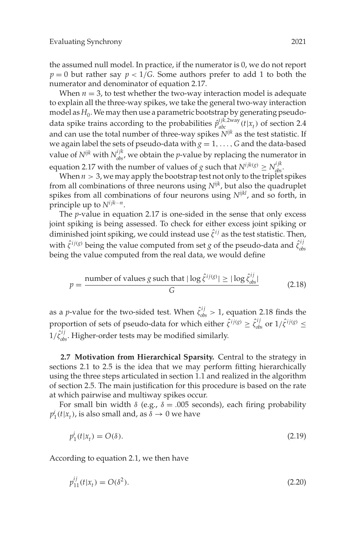the assumed null model. In practice, if the numerator is 0, we do not report  $p = 0$  but rather say  $p < 1/G$ . Some authors prefer to add 1 to both the numerator and denominator of equation 2.17.

When  $n = 3$ , to test whether the two-way interaction model is adequate to explain all the three-way spikes, we take the general two-way interaction model as  $H_0$ . We may then use a parametric bootstrap by generating pseudodata spike trains according to the probabilities  $\hat{p}_{abc}^{ijk,2way}(t|x_t)$  of section 2.4 and can use the total number of three-way spikes *Nijk* as the test statistic. If we again label the sets of pseudo-data with  $g = 1, \ldots, G$  and the data-based value of  $N^{ijk}$  with  $N^{ijk}_{obs}$ , we obtain the *p*-value by replacing the numerator in equation 2.17 with the number of values of *g* such that  $N^{ijk(g)} \ge N^{ijk}_{obs}$ .

When  $n > 3$ , we may apply the bootstrap test not only to the triplet spikes from all combinations of three neurons using *Nijk*, but also the quadruplet spikes from all combinations of four neurons using *Nijkl*, and so forth, in principle up to  $N^{ijk\cdots n}$ .

The *p*-value in equation 2.17 is one-sided in the sense that only excess joint spiking is being assessed. To check for either excess joint spiking or diminished joint spiking, we could instead use  $\hat{\zeta}^{ij}$  as the test statistic. Then, with  $\hat{\zeta}^{ij(g)}$  being the value computed from set *g* of the pseudo-data and  $\hat{\zeta}_{obs}^{ij}$ being the value computed from the real data, we would define

$$
p = \frac{\text{number of values } g \text{ such that } |\log \hat{\zeta}^{ij(g)}| \ge |\log \hat{\zeta}_{obs}^{ij}|}{G}
$$
 (2.18)

as a *p*-value for the two-sided test. When  $\hat{\zeta}_{obs}^{ij} > 1$ , equation 2.18 finds the proportion of sets of pseudo-data for which either  $\hat{\zeta}^{ij(g)} \geq \hat{\zeta}_{obs}^{ij}$  or  $1/\hat{\zeta}^{ij(g)} \leq$  $1/\hat{\zeta}_{obs}^{ij}$ . Higher-order tests may be modified similarly.

**2.7 Motivation from Hierarchical Sparsity.** Central to the strategy in sections 2.1 to 2.5 is the idea that we may perform fitting hierarchically using the three steps articulated in section 1.1 and realized in the algorithm of section 2.5. The main justification for this procedure is based on the rate at which pairwise and multiway spikes occur.

For small bin width  $\delta$  (e.g.,  $\delta = 0.005$  seconds), each firing probability  $p_1^i(t|x_t)$ , is also small and, as  $\delta \to 0$  we have

$$
p_1^i(t|x_t) = O(\delta). \tag{2.19}
$$

According to equation 2.1, we then have

$$
p_{11}^{ij}(t|x_t) = O(\delta^2). \tag{2.20}
$$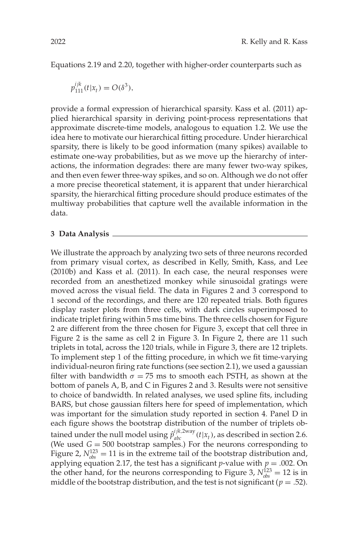Equations 2.19 and 2.20, together with higher-order counterparts such as

$$
p_{111}^{ijk}(t|x_t) = O(\delta^3),
$$

provide a formal expression of hierarchical sparsity. Kass et al. (2011) applied hierarchical sparsity in deriving point-process representations that approximate discrete-time models, analogous to equation 1.2. We use the idea here to motivate our hierarchical fitting procedure. Under hierarchical sparsity, there is likely to be good information (many spikes) available to estimate one-way probabilities, but as we move up the hierarchy of interactions, the information degrades: there are many fewer two-way spikes, and then even fewer three-way spikes, and so on. Although we do not offer a more precise theoretical statement, it is apparent that under hierarchical sparsity, the hierarchical fitting procedure should produce estimates of the multiway probabilities that capture well the available information in the data.

#### **3 Data Analysis**

We illustrate the approach by analyzing two sets of three neurons recorded from primary visual cortex, as described in Kelly, Smith, Kass, and Lee (2010b) and Kass et al. (2011). In each case, the neural responses were recorded from an anesthetized monkey while sinusoidal gratings were moved across the visual field. The data in Figures 2 and 3 correspond to 1 second of the recordings, and there are 120 repeated trials. Both figures display raster plots from three cells, with dark circles superimposed to indicate triplet firing within 5 ms time bins. The three cells chosen for Figure 2 are different from the three chosen for Figure 3, except that cell three in Figure 2 is the same as cell 2 in Figure 3. In Figure 2, there are 11 such triplets in total, across the 120 trials, while in Figure 3, there are 12 triplets. To implement step 1 of the fitting procedure, in which we fit time-varying individual-neuron firing rate functions (see section 2.1), we used a gaussian filter with bandwidth  $\sigma = 75$  ms to smooth each PSTH, as shown at the bottom of panels A, B, and C in Figures 2 and 3. Results were not sensitive to choice of bandwidth. In related analyses, we used spline fits, including BARS, but chose gaussian filters here for speed of implementation, which was important for the simulation study reported in section 4. Panel D in each figure shows the bootstrap distribution of the number of triplets obtained under the null model using  $\hat{p}_{abc}^{ijk,2way}(t|x_t)$ , as described in section 2.6. (We used  $G = 500$  bootstrap samples.) For the neurons corresponding to Figure 2,  $N_{obs}^{123} = 11$  is in the extreme tail of the bootstrap distribution and, applying equation 2.17, the test has a significant *p*-value with  $p = .002$ . On the other hand, for the neurons corresponding to Figure 3,  $N_{obs}^{123} = 12$  is in middle of the bootstrap distribution, and the test is not significant ( $p = .52$ ).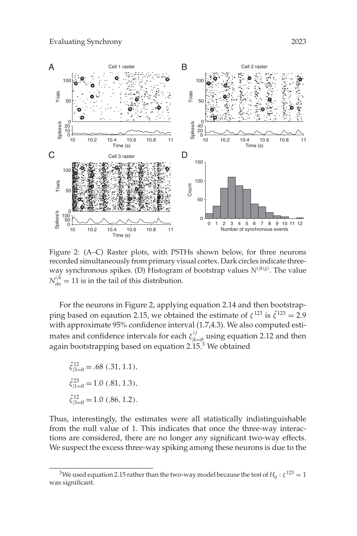

Figure 2: (A–C) Raster plots, with PSTHs shown below, for three neurons recorded simultaneously from primary visual cortex. Dark circles indicate threeway synchronous spikes. (D) Histogram of bootstrap values *Nijk*(*g*) . The value  $N_{obs}^{ijk} = 11$  is in the tail of this distribution.

For the neurons in Figure 2, applying equation 2.14 and then bootstrapping based on eqaution 2.15, we obtained the estimate of  $\zeta^{123}$  is  $\hat{\zeta}^{123} = 2.9$ with approximate 95% confidence interval (1.7,4.3). We also computed estimates and confidence intervals for each  $\zeta_{|k=\emptyset}^{ij}$  using equation 2.12 and then again bootstrapping based on equation 2.15.<sup>3</sup> We obtained

$$
\hat{\zeta}_{|3=\emptyset}^{12} = .68 \ (.31, 1.1),
$$
  

$$
\hat{\zeta}_{|1=\emptyset}^{23} = 1.0 \ (.81, 1.3),
$$
  

$$
\hat{\zeta}_{|3=\emptyset}^{12} = 1.0 \ (.86, 1.2).
$$

Thus, interestingly, the estimates were all statistically indistinguishable from the null value of 1. This indicates that once the three-way interactions are considered, there are no longer any significant two-way effects. We suspect the excess three-way spiking among these neurons is due to the

<sup>&</sup>lt;sup>3</sup>We used equation 2.15 rather than the two-way model because the test of  $H_0: \zeta^{123} = 1$ was significant.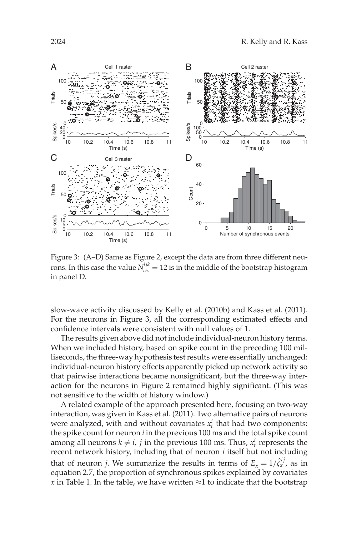

Figure 3: (A–D) Same as Figure 2, except the data are from three different neurons. In this case the value  $N_{obs}^{ijk} = 12$  is in the middle of the bootstrap histogram in panel D.

slow-wave activity discussed by Kelly et al. (2010b) and Kass et al. (2011). For the neurons in Figure 3, all the corresponding estimated effects and confidence intervals were consistent with null values of 1.

The results given above did not include individual-neuron history terms. When we included history, based on spike count in the preceding 100 milliseconds, the three-way hypothesis test results were essentially unchanged: individual-neuron history effects apparently picked up network activity so that pairwise interactions became nonsignificant, but the three-way interaction for the neurons in Figure 2 remained highly significant. (This was not sensitive to the width of history window.)

A related example of the approach presented here, focusing on two-way interaction, was given in Kass et al. (2011). Two alternative pairs of neurons were analyzed, with and without covariates  $x_t^i$  that had two components: the spike count for neuron *i* in the previous 100 ms and the total spike count among all neurons  $k \neq i$ , *j* in the previous 100 ms. Thus,  $x_t^i$  represents the recent network history, including that of neuron *i* itself but not including that of neuron *j*. We summarize the results in terms of  $E_x = 1/\hat{\zeta}_x^{ij}$ , as in equation 2.7, the proportion of synchronous spikes explained by covariates *x* in Table 1. In the table, we have written  $\approx$ 1 to indicate that the bootstrap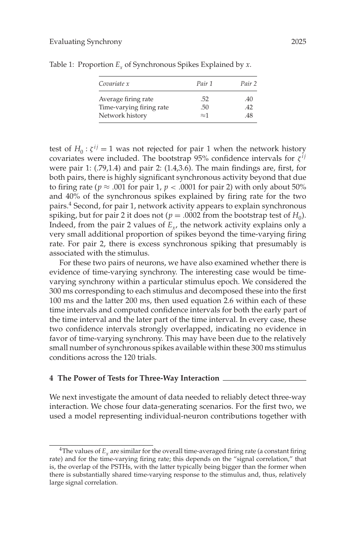| Covariate x              | Pair 1      | Pair 2 |
|--------------------------|-------------|--------|
| Average firing rate      | .52         | .40    |
| Time-varying firing rate | .50         | 42     |
| Network history          | $\approx$ 1 | 48     |

Table 1: Proportion  $E_r$  of Synchronous Spikes Explained by *x*.

test of  $H_0$ :  $\zeta^{ij} = 1$  was not rejected for pair 1 when the network history covariates were included. The bootstrap 95% confidence intervals for  $\zeta^{ij}$ were pair 1: (.79,1.4) and pair 2: (1.4,3.6). The main findings are, first, for both pairs, there is highly significant synchronous activity beyond that due to firing rate ( $p \approx .001$  for pair 1,  $p < .0001$  for pair 2) with only about 50% and 40% of the synchronous spikes explained by firing rate for the two pairs.4 Second, for pair 1, network activity appears to explain synchronous spiking, but for pair 2 it does not ( $p = .0002$  from the bootstrap test of  $H_0$ ). Indeed, from the pair 2 values of  $E_y$ , the network activity explains only a very small additional proportion of spikes beyond the time-varying firing rate. For pair 2, there is excess synchronous spiking that presumably is associated with the stimulus.

For these two pairs of neurons, we have also examined whether there is evidence of time-varying synchrony. The interesting case would be timevarying synchrony within a particular stimulus epoch. We considered the 300 ms corresponding to each stimulus and decomposed these into the first 100 ms and the latter 200 ms, then used equation 2.6 within each of these time intervals and computed confidence intervals for both the early part of the time interval and the later part of the time interval. In every case, these two confidence intervals strongly overlapped, indicating no evidence in favor of time-varying synchrony. This may have been due to the relatively small number of synchronous spikes available within these 300 ms stimulus conditions across the 120 trials.

#### **4 The Power of Tests for Three-Way Interaction**

We next investigate the amount of data needed to reliably detect three-way interaction. We chose four data-generating scenarios. For the first two, we used a model representing individual-neuron contributions together with

<sup>&</sup>lt;sup>4</sup>The values of  $E<sub>x</sub>$  are similar for the overall time-averaged firing rate (a constant firing rate) and for the time-varying firing rate; this depends on the "signal correlation," that is, the overlap of the PSTHs, with the latter typically being bigger than the former when there is substantially shared time-varying response to the stimulus and, thus, relatively large signal correlation.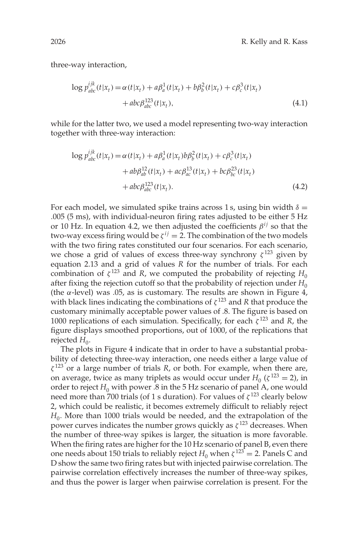three-way interaction,

$$
\log p_{abc}^{ijk}(t|x_t) = \alpha(t|x_t) + a\beta_a^1(t|x_t) + b\beta_b^2(t|x_t) + c\beta_c^3(t|x_t) + abc\beta_{abc}^{123}(t|x_t),
$$
\n(4.1)

while for the latter two, we used a model representing two-way interaction together with three-way interaction:

$$
\log p_{abc}^{ijk}(t|x_t) = \alpha(t|x_t) + a\beta_a^1(t|x_t)b\beta_b^2(t|x_t) + c\beta_c^3(t|x_t) + ab\beta_{ab}^{12}(t|x_t) + ac\beta_{ac}^{13}(t|x_t) + bc\beta_{bc}^{23}(t|x_t) + abc\beta_{abc}^{123}(t|x_t).
$$
\n(4.2)

For each model, we simulated spike trains across 1 s, using bin width  $\delta =$ .005 (5 ms), with individual-neuron firing rates adjusted to be either 5 Hz or 10 Hz. In equation 4.2, we then adjusted the coefficients  $\beta^{ij}$  so that the two-way excess firing would be  $\zeta^{ij} = 2$ . The combination of the two models with the two firing rates constituted our four scenarios. For each scenario, we chose a grid of values of excess three-way synchrony  $\zeta^{123}$  given by equation 2.13 and a grid of values *R* for the number of trials. For each combination of  $\zeta^{123}$  and *R*, we computed the probability of rejecting  $H_0$ after fixing the rejection cutoff so that the probability of rejection under  $H_0$ (the α-level) was .05, as is customary. The results are shown in Figure 4, with black lines indicating the combinations of  $\zeta^{123}$  and *R* that produce the customary minimally acceptable power values of .8. The figure is based on 1000 replications of each simulation. Specifically, for each  $\zeta^{123}$  and *R*, the figure displays smoothed proportions, out of 1000, of the replications that rejected  $H_0$ .

The plots in Figure 4 indicate that in order to have a substantial probability of detecting three-way interaction, one needs either a large value of  $\zeta^{123}$  or a large number of trials *R*, or both. For example, when there are, on average, twice as many triplets as would occur under  $H_0$  ( $\zeta^{123}$  = 2), in order to reject  $H_0$  with power .8 in the 5 Hz scenario of panel A, one would need more than 700 trials (of 1 s duration). For values of  $\zeta^{123}$  clearly below 2, which could be realistic, it becomes extremely difficult to reliably reject *H*<sub>0</sub>. More than 1000 trials would be needed, and the extrapolation of the power curves indicates the number grows quickly as  $\zeta^{123}$  decreases. When the number of three-way spikes is larger, the situation is more favorable. When the firing rates are higher for the 10 Hz scenario of panel B, even there one needs about 150 trials to reliably reject  $H_0$  when  $\zeta^{123} = 2$ . Panels C and D show the same two firing rates but with injected pairwise correlation. The pairwise correlation effectively increases the number of three-way spikes, and thus the power is larger when pairwise correlation is present. For the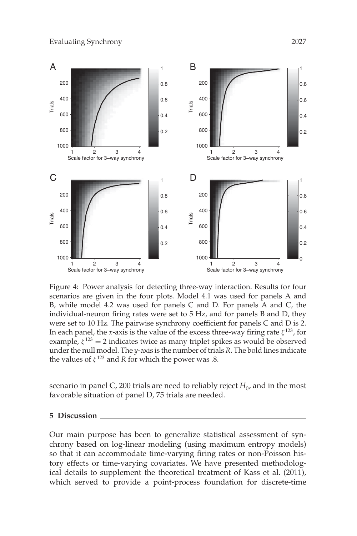

Figure 4: Power analysis for detecting three-way interaction. Results for four scenarios are given in the four plots. Model 4.1 was used for panels A and B, while model 4.2 was used for panels C and D. For panels A and C, the individual-neuron firing rates were set to 5 Hz, and for panels B and D, they were set to 10 Hz. The pairwise synchrony coefficient for panels C and D is 2. In each panel, the *x*-axis is the value of the excess three-way firing rate  $\zeta^{123}$ , for example,  $\zeta^{123} = 2$  indicates twice as many triplet spikes as would be observed under the null model. The *y*-axis is the number of trials *R*. The bold lines indicate the values of  $\zeta^{123}$  and *R* for which the power was .8.

scenario in panel C, 200 trials are need to reliably reject  $H_0$ , and in the most favorable situation of panel D, 75 trials are needed.

### **5 Discussion**

Our main purpose has been to generalize statistical assessment of synchrony based on log-linear modeling (using maximum entropy models) so that it can accommodate time-varying firing rates or non-Poisson history effects or time-varying covariates. We have presented methodological details to supplement the theoretical treatment of Kass et al. (2011), which served to provide a point-process foundation for discrete-time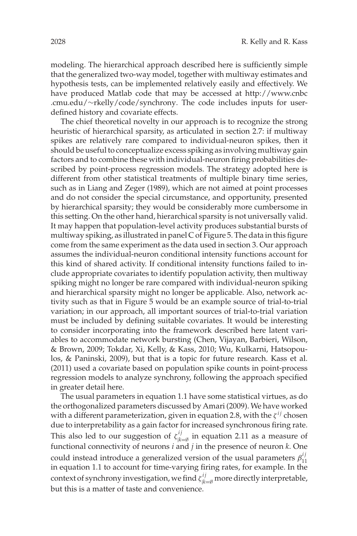modeling. The hierarchical approach described here is sufficiently simple that the generalized two-way model, together with multiway estimates and hypothesis tests, can be implemented relatively easily and effectively. We have produced Matlab code that may be accessed at http://www.cnbc .cmu.edu/∼rkelly/code/synchrony. The code includes inputs for userdefined history and covariate effects.

The chief theoretical novelty in our approach is to recognize the strong heuristic of hierarchical sparsity, as articulated in section 2.7: if multiway spikes are relatively rare compared to individual-neuron spikes, then it should be useful to conceptualize excess spiking as involving multiway gain factors and to combine these with individual-neuron firing probabilities described by point-process regression models. The strategy adopted here is different from other statistical treatments of multiple binary time series, such as in Liang and Zeger (1989), which are not aimed at point processes and do not consider the special circumstance, and opportunity, presented by hierarchical sparsity; they would be considerably more cumbersome in this setting. On the other hand, hierarchical sparsity is not universally valid. It may happen that population-level activity produces substantial bursts of multiway spiking, as illustrated in panel C of Figure 5. The data in this figure come from the same experiment as the data used in section 3. Our approach assumes the individual-neuron conditional intensity functions account for this kind of shared activity. If conditional intensity functions failed to include appropriate covariates to identify population activity, then multiway spiking might no longer be rare compared with individual-neuron spiking and hierarchical sparsity might no longer be applicable. Also, network activity such as that in Figure 5 would be an example source of trial-to-trial variation; in our approach, all important sources of trial-to-trial variation must be included by defining suitable covariates. It would be interesting to consider incorporating into the framework described here latent variables to accommodate network bursting (Chen, Vijayan, Barbieri, Wilson, & Brown, 2009; Tokdar, Xi, Kelly, & Kass, 2010; Wu, Kulkarni, Hatsopoulos, & Paninski, 2009), but that is a topic for future research. Kass et al. (2011) used a covariate based on population spike counts in point-process regression models to analyze synchrony, following the approach specified in greater detail here.

The usual parameters in equation 1.1 have some statistical virtues, as do the orthogonalized parameters discussed by Amari (2009). We have worked with a different parameterization, given in equation 2.8, with the  $\zeta^{ij}$  chosen due to interpretability as a gain factor for increased synchronous firing rate. This also led to our suggestion of  $\zeta_{|k=\emptyset}^{ij}$  in equation 2.11 as a measure of functional connectivity of neurons *i* and *j* in the presence of neuron *k*. One could instead introduce a generalized version of the usual parameters  $\beta_{11}^{ij}$ in equation 1.1 to account for time-varying firing rates, for example. In the context of synchrony investigation, we find  $\zeta_{|k=\emptyset}^{ij}$  more directly interpretable, but this is a matter of taste and convenience.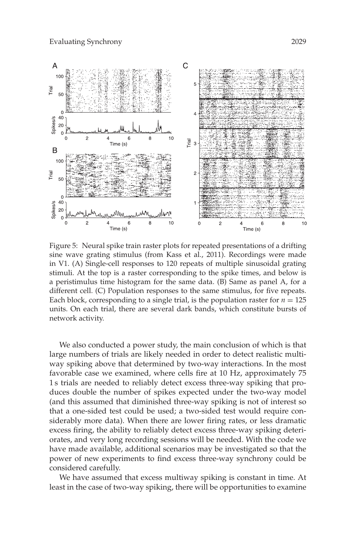

Figure 5: Neural spike train raster plots for repeated presentations of a drifting sine wave grating stimulus (from Kass et al., 2011). Recordings were made in V1. (A) Single-cell responses to 120 repeats of multiple sinusoidal grating stimuli. At the top is a raster corresponding to the spike times, and below is a peristimulus time histogram for the same data. (B) Same as panel A, for a different cell. (C) Population responses to the same stimulus, for five repeats. Each block, corresponding to a single trial, is the population raster for  $n = 125$ units. On each trial, there are several dark bands, which constitute bursts of network activity.

We also conducted a power study, the main conclusion of which is that large numbers of trials are likely needed in order to detect realistic multiway spiking above that determined by two-way interactions. In the most favorable case we examined, where cells fire at 10 Hz, approximately 75 1 s trials are needed to reliably detect excess three-way spiking that produces double the number of spikes expected under the two-way model (and this assumed that diminished three-way spiking is not of interest so that a one-sided test could be used; a two-sided test would require considerably more data). When there are lower firing rates, or less dramatic excess firing, the ability to reliably detect excess three-way spiking deteriorates, and very long recording sessions will be needed. With the code we have made available, additional scenarios may be investigated so that the power of new experiments to find excess three-way synchrony could be considered carefully.

We have assumed that excess multiway spiking is constant in time. At least in the case of two-way spiking, there will be opportunities to examine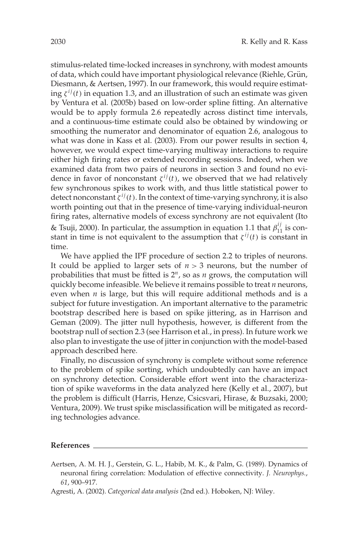stimulus-related time-locked increases in synchrony, with modest amounts of data, which could have important physiological relevance (Riehle, Grün, Diesmann, & Aertsen, 1997). In our framework, this would require estimating  $\zeta^{ij}(t)$  in equation 1.3, and an illustration of such an estimate was given by Ventura et al. (2005b) based on low-order spline fitting. An alternative would be to apply formula 2.6 repeatedly across distinct time intervals, and a continuous-time estimate could also be obtained by windowing or smoothing the numerator and denominator of equation 2.6, analogous to what was done in Kass et al. (2003). From our power results in section 4, however, we would expect time-varying multiway interactions to require either high firing rates or extended recording sessions. Indeed, when we examined data from two pairs of neurons in section 3 and found no evidence in favor of nonconstant  $\zeta^{ij}(t)$ , we observed that we had relatively few synchronous spikes to work with, and thus little statistical power to detect nonconstant  $\zeta^{ij}(t)$ . In the context of time-varying synchrony, it is also worth pointing out that in the presence of time-varying individual-neuron firing rates, alternative models of excess synchrony are not equivalent (Ito & Tsuji, 2000). In particular, the assumption in equation 1.1 that  $\beta_{11}^{ij}$  is constant in time is not equivalent to the assumption that  $\zeta^{ij}(t)$  is constant in time.

We have applied the IPF procedure of section 2.2 to triples of neurons. It could be applied to larger sets of  $n > 3$  neurons, but the number of probabilities that must be fitted is 2*<sup>n</sup>*, so as *n* grows, the computation will quickly become infeasible. We believe it remains possible to treat *n* neurons, even when *n* is large, but this will require additional methods and is a subject for future investigation. An important alternative to the parametric bootstrap described here is based on spike jittering, as in Harrison and Geman (2009). The jitter null hypothesis, however, is different from the bootstrap null of section 2.3 (see Harrison et al., in press). In future work we also plan to investigate the use of jitter in conjunction with the model-based approach described here.

Finally, no discussion of synchrony is complete without some reference to the problem of spike sorting, which undoubtedly can have an impact on synchrony detection. Considerable effort went into the characterization of spike waveforms in the data analyzed here (Kelly et al., 2007), but the problem is difficult (Harris, Henze, Csicsvari, Hirase, & Buzsaki, 2000; Ventura, 2009). We trust spike misclassification will be mitigated as recording technologies advance.

#### **References**

- Aertsen, A. M. H. J., Gerstein, G. L., Habib, M. K., & Palm, G. (1989). Dynamics of neuronal firing correlation: Modulation of effective connectivity. *J. Neurophys.*, *61*, 900–917.
- Agresti, A. (2002). *Categorical data analysis* (2nd ed.). Hoboken, NJ: Wiley.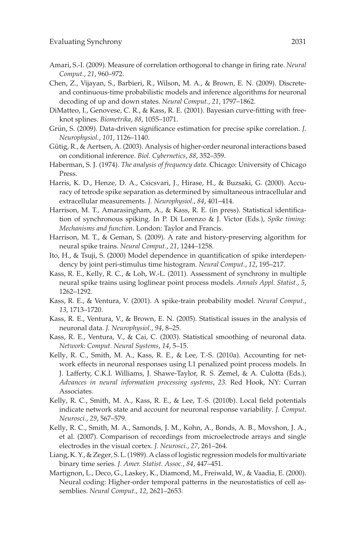- Amari, S.-I. (2009). Measure of correlation orthogonal to change in firing rate. *Neural Comput.*, *21*, 960–972.
- Chen, Z., Vijayan, S., Barbieri, R., Wilson, M. A., & Brown, E. N. (2009). Discreteand continuous-time probabilistic models and inference algorithms for neuronal decoding of up and down states. *Neural Comput.*, *21*, 1797–1862.
- DiMatteo, I., Genovese, C. R., & Kass, R. E. (2001). Bayesian curve-fitting with freeknot splines. *Biometrika*, *88*, 1055–1071.
- Grün, S. (2009). Data-driven significance estimation for precise spike correlation. *J. Neurophysiol.*, *101*, 1126–1140.
- Gütig, R., & Aertsen, A. (2003). Analysis of higher-order neuronal interactions based on conditional inference. *Biol. Cybernetics*, *88*, 352–359.
- Haberman, S. J. (1974). *The analysis of frequency data*. Chicago: University of Chicago Press.
- Harris, K. D., Henze, D. A., Csicsvari, J., Hirase, H., & Buzsaki, G. (2000). Accuracy of tetrode spike separation as determined by simultaneous intracellular and extracellular measurements. *J. Neurophysiol.*, *84*, 401–414.
- Harrison, M. T., Amarasingham, A., & Kass, R. E. (in press). Statistical identification of synchronous spiking. In P. Di Lorenzo & J. Victor (Eds.), *Spike timing: Mechanisms and function*. London: Taylor and Francis.
- Harrison, M. T., & Geman, S. (2009). A rate and history-preserving algorithm for neural spike trains. *Neural Comput.*, *21*, 1244–1258.
- Ito, H., & Tsuji, S. (2000) Model dependence in quantification of spike interdependency by joint peri-stimulus time histogram. *Neural Comput.*, *12*, 195–217.
- Kass, R. E., Kelly, R. C., & Loh, W.-L. (2011). Assessment of synchrony in multiple neural spike trains using loglinear point process models. *Annals Appl. Statist.*, *5*, 1262–1292.
- Kass, R. E., & Ventura, V. (2001). A spike-train probability model. *Neural Comput.*, *13*, 1713–1720.
- Kass, R. E., Ventura, V., & Brown, E. N. (2005). Statistical issues in the analysis of neuronal data. *J. Neurophysiol.*, *94*, 8–25.
- Kass, R. E., Ventura, V., & Cai, C. (2003). Statistical smoothing of neuronal data. *Network: Comput. Neural Systems*, *14*, 5–15.
- Kelly, R. C., Smith, M. A., Kass, R. E., & Lee, T.-S. (2010a). Accounting for network effects in neuronal responses using L1 penalized point process models. In J. Lafferty, C.K.I. Williams, J. Shawe-Taylor, R. S. Zemel, & A. Culotta (Eds.), *Advances in neural information processing systems*, *23*. Red Hook, NY: Curran Associates.
- Kelly, R. C., Smith, M. A., Kass, R. E., & Lee, T.-S. (2010b). Local field potentials indicate network state and account for neuronal response variability. *J. Comput. Neurosci.*, *29*, 567–579.
- Kelly, R. C., Smith, M. A., Samonds, J. M., Kohn, A., Bonds, A. B., Movshon, J. A., et al. (2007). Comparison of recordings from microelectrode arrays and single electrodes in the visual cortex. *J. Neurosci.*, *27*, 261–264.
- Liang, K. Y., & Zeger, S. L. (1989). A class of logistic regression models for multivariate binary time series. *J. Amer. Statist. Assoc.*, *84*, 447–451.
- Martignon, L., Deco, G., Laskey, K., Diamond, M., Freiwald, W., & Vaadia, E. (2000). Neural coding: Higher-order temporal patterns in the neurostatistics of cell assemblies. *Neural Comput.*, *12*, 2621–2653.